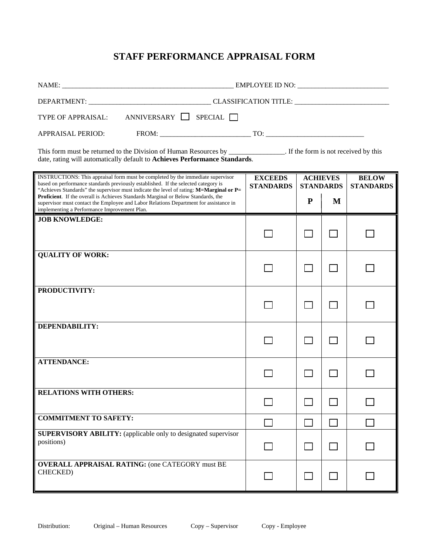# **STAFF PERFORMANCE APPRAISAL FORM**

| TYPE OF APPRAISAL: ANNIVERSARY SPECIAL                                                                                                                                                                                                                                                                                                                                                                                                                                                                                                                                 |                                    |                                     |        |                                  |
|------------------------------------------------------------------------------------------------------------------------------------------------------------------------------------------------------------------------------------------------------------------------------------------------------------------------------------------------------------------------------------------------------------------------------------------------------------------------------------------------------------------------------------------------------------------------|------------------------------------|-------------------------------------|--------|----------------------------------|
| $TQ: \underline{\hspace{1cm}} TQ: \underline{\hspace{1cm}} TQ: \underline{\hspace{1cm}} TQ: \underline{\hspace{1cm}} TQ: \underline{\hspace{1cm}} TQ: \underline{\hspace{1cm}} TQ: \underline{\hspace{1cm}} TQ: \underline{\hspace{1cm}} TQ: \underline{\hspace{1cm}} TQ: \underline{\hspace{1cm}} TQ: \underline{\hspace{1cm}} TQ: \underline{\hspace{1cm}} TQ: \underline{\hspace{1cm}} TQ: \underline{\hspace{1cm}} TQ: \underline{\hspace{1cm}} TQ: \underline{\hspace{1cm}} TQ: \underline{\hspace{1cm}} TQ: \underline{\hspace{1cm}} TQ: \$<br>APPRAISAL PERIOD: |                                    |                                     |        |                                  |
| This form must be returned to the Division of Human Resources by ______________. If the form is not received by this<br>date, rating will automatically default to Achieves Performance Standards.                                                                                                                                                                                                                                                                                                                                                                     |                                    |                                     |        |                                  |
| INSTRUCTIONS: This appraisal form must be completed by the immediate supervisor<br>based on performance standards previously established. If the selected category is                                                                                                                                                                                                                                                                                                                                                                                                  | <b>EXCEEDS</b><br><b>STANDARDS</b> | <b>ACHIEVES</b><br><b>STANDARDS</b> |        | <b>BELOW</b><br><b>STANDARDS</b> |
| "Achieves Standards" the supervisor must indicate the level of rating: M=Marginal or P=<br>Proficient. If the overall is Achieves Standards Marginal or Below Standards, the<br>supervisor must contact the Employee and Labor Relations Department for assistance in<br>implementing a Performance Improvement Plan.                                                                                                                                                                                                                                                  |                                    | ${\bf P}$                           | M      |                                  |
| <b>JOB KNOWLEDGE:</b>                                                                                                                                                                                                                                                                                                                                                                                                                                                                                                                                                  |                                    |                                     |        |                                  |
|                                                                                                                                                                                                                                                                                                                                                                                                                                                                                                                                                                        |                                    |                                     |        |                                  |
| <b>QUALITY OF WORK:</b>                                                                                                                                                                                                                                                                                                                                                                                                                                                                                                                                                |                                    |                                     |        |                                  |
|                                                                                                                                                                                                                                                                                                                                                                                                                                                                                                                                                                        |                                    |                                     |        |                                  |
| PRODUCTIVITY:                                                                                                                                                                                                                                                                                                                                                                                                                                                                                                                                                          |                                    |                                     |        |                                  |
|                                                                                                                                                                                                                                                                                                                                                                                                                                                                                                                                                                        |                                    |                                     |        |                                  |
| DEPENDABILITY:                                                                                                                                                                                                                                                                                                                                                                                                                                                                                                                                                         |                                    |                                     |        |                                  |
|                                                                                                                                                                                                                                                                                                                                                                                                                                                                                                                                                                        |                                    |                                     |        |                                  |
| <b>ATTENDANCE:</b>                                                                                                                                                                                                                                                                                                                                                                                                                                                                                                                                                     |                                    |                                     |        |                                  |
|                                                                                                                                                                                                                                                                                                                                                                                                                                                                                                                                                                        |                                    |                                     |        |                                  |
| <b>RELATIONS WITH OTHERS:</b>                                                                                                                                                                                                                                                                                                                                                                                                                                                                                                                                          |                                    |                                     |        |                                  |
| <b>COMMITMENT TO SAFETY:</b>                                                                                                                                                                                                                                                                                                                                                                                                                                                                                                                                           |                                    | $\blacksquare$                      | $\Box$ |                                  |
| <b>SUPERVISORY ABILITY:</b> (applicable only to designated supervisor<br>positions)                                                                                                                                                                                                                                                                                                                                                                                                                                                                                    |                                    |                                     | $\sim$ |                                  |
| <b>OVERALL APPRAISAL RATING: (one CATEGORY must BE</b><br><b>CHECKED</b> )                                                                                                                                                                                                                                                                                                                                                                                                                                                                                             |                                    |                                     | $\Box$ |                                  |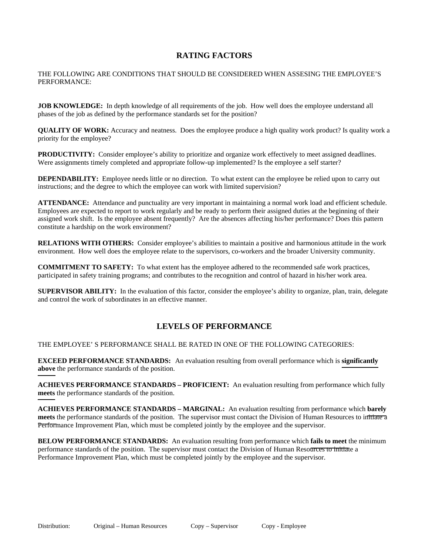## **RATING FACTORS**

THE FOLLOWING ARE CONDITIONS THAT SHOULD BE CONSIDERED WHEN ASSESING THE EMPLOYEE'S PERFORMANCE:

**JOB KNOWLEDGE:** In depth knowledge of all requirements of the job. How well does the employee understand all phases of the job as defined by the performance standards set for the position?

**QUALITY OF WORK:** Accuracy and neatness. Does the employee produce a high quality work product? Is quality work a priority for the employee?

**PRODUCTIVITY:** Consider employee's ability to prioritize and organize work effectively to meet assigned deadlines. Were assignments timely completed and appropriate follow-up implemented? Is the employee a self starter?

**DEPENDABILITY:** Employee needs little or no direction. To what extent can the employee be relied upon to carry out instructions; and the degree to which the employee can work with limited supervision?

**ATTENDANCE:** Attendance and punctuality are very important in maintaining a normal work load and efficient schedule. Employees are expected to report to work regularly and be ready to perform their assigned duties at the beginning of their assigned work shift. Is the employee absent frequently? Are the absences affecting his/her performance? Does this pattern constitute a hardship on the work environment?

**RELATIONS WITH OTHERS:** Consider employee's abilities to maintain a positive and harmonious attitude in the work environment. How well does the employee relate to the supervisors, co-workers and the broader University community.

**COMMITMENT TO SAFETY:** To what extent has the employee adhered to the recommended safe work practices, participated in safety training programs; and contributes to the recognition and control of hazard in his/her work area.

**SUPERVISOR ABILITY:** In the evaluation of this factor, consider the employee's ability to organize, plan, train, delegate and control the work of subordinates in an effective manner.

## **LEVELS OF PERFORMANCE**

#### THE EMPLOYEE' S PERFORMANCE SHALL BE RATED IN ONE OF THE FOLLOWING CATEGORIES:

**EXCEED PERFORMANCE STANDARDS:** An evaluation resulting from overall performance which is **significantly above** the performance standards of the position.

**ACHIEVES PERFORMANCE STANDARDS – PROFICIENT:** An evaluation resulting from performance which fully **meets** the performance standards of the position.

**ACHIEVES PERFORMANCE STANDARDS – MARGINAL:** An evaluation resulting from performance which **barely meets** the performance standards of the position. The supervisor must contact the Division of Human Resources to initiate a Performance Improvement Plan, which must be completed jointly by the employee and the supervisor.

**BELOW PERFORMANCE STANDARDS:** An evaluation resulting from performance which **fails to meet** the minimum performance standards of the position. The supervisor must contact the Division of Human Resources to initiate a Performance Improvement Plan, which must be completed jointly by the employee and the supervisor.